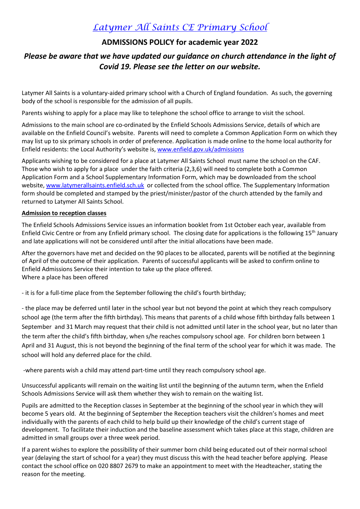# *Latymer All Saints CE Primary School*

# **ADMISSIONS POLICY for academic year 2022**

# *Please be aware that we have updated our guidance on church attendance in the light of Covid 19. Please see the letter on our website.*

Latymer All Saints is a voluntary-aided primary school with a Church of England foundation. As such, the governing body of the school is responsible for the admission of all pupils.

Parents wishing to apply for a place may like to telephone the school office to arrange to visit the school.

Admissions to the main school are co-ordinated by the Enfield Schools Admissions Service, details of which are available on the Enfield Council's website. Parents will need to complete a Common Application Form on which they may list up to six primary schools in order of preference. Application is made online to the home local authority for Enfield residents: the Local Authority's website is, [www.enfield.gov.uk/admissions](http://www.enfield.gov.uk/admissions)

Applicants wishing to be considered for a place at Latymer All Saints School must name the school on the CAF. Those who wish to apply for a place under the faith criteria (2,3,6) will need to complete both a Common Application Form and a School Supplementary Information Form, which may be downloaded from the school website, [www.latymerallsaints.enfield.sch.uk](http://www.latymerallsaints.enfield.sch.uk/) or collected from the school office. The Supplementary Information form should be completed and stamped by the priest/minister/pastor of the church attended by the family and returned to Latymer All Saints School.

## **Admission to reception classes**

The Enfield Schools Admissions Service issues an information booklet from 1st October each year, available from Enfield Civic Centre or from any Enfield primary school. The closing date for applications is the following 15th January and late applications will not be considered until after the initial allocations have been made.

After the governors have met and decided on the 90 places to be allocated, parents will be notified at the beginning of April of the outcome of their application. Parents of successful applicants will be asked to confirm online to Enfield Admissions Service their intention to take up the place offered. Where a place has been offered

- it is for a full-time place from the September following the child's fourth birthday;

- the place may be deferred until later in the school year but not beyond the point at which they reach compulsory school age (the term after the fifth birthday). This means that parents of a child whose fifth birthday falls between 1 September and 31 March may request that their child is not admitted until later in the school year, but no later than the term after the child's fifth birthday, when s/he reaches compulsory school age. For children born between 1 April and 31 August, this is not beyond the beginning of the final term of the school year for which it was made. The school will hold any deferred place for the child.

-where parents wish a child may attend part-time until they reach compulsory school age.

Unsuccessful applicants will remain on the waiting list until the beginning of the autumn term, when the Enfield Schools Admissions Service will ask them whether they wish to remain on the waiting list.

Pupils are admitted to the Reception classes in September at the beginning of the school year in which they will become 5 years old. At the beginning of September the Reception teachers visit the children's homes and meet individually with the parents of each child to help build up their knowledge of the child's current stage of development. To facilitate their induction and the baseline assessment which takes place at this stage, children are admitted in small groups over a three week period.

If a parent wishes to explore the possibility of their summer born child being educated out of their normal school year (delaying the start of school for a year) they must discuss this with the head teacher before applying. Please contact the school office on 020 8807 2679 to make an appointment to meet with the Headteacher, stating the reason for the meeting.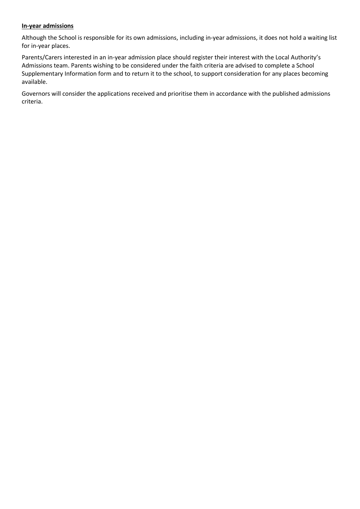## **In-year admissions**

Although the School is responsible for its own admissions, including in-year admissions, it does not hold a waiting list for in-year places.

Parents/Carers interested in an in-year admission place should register their interest with the Local Authority's Admissions team. Parents wishing to be considered under the faith criteria are advised to complete a School Supplementary Information form and to return it to the school, to support consideration for any places becoming available.

Governors will consider the applications received and prioritise them in accordance with the published admissions criteria.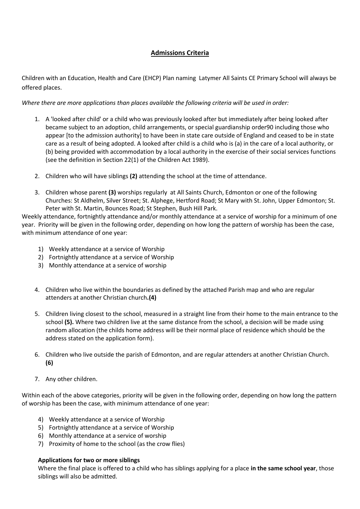# **Admissions Criteria**

Children with an Education, Health and Care (EHCP) Plan naming Latymer All Saints CE Primary School will always be offered places.

*Where there are more applications than places available the following criteria will be used in order:*

- 1. A 'looked after child' or a child who was previously looked after but immediately after being looked after became subject to an adoption, child arrangements, or special guardianship order90 including those who appear [to the admission authority] to have been in state care outside of England and ceased to be in state care as a result of being adopted. A looked after child is a child who is (a) in the care of a local authority, or (b) being provided with accommodation by a local authority in the exercise of their social services functions (see the definition in Section 22(1) of the Children Act 1989).
- 2. Children who will have siblings **(2)** attending the school at the time of attendance.
- 3. Children whose parent **(3)** worships regularly at All Saints Church, Edmonton or one of the following Churches: St Aldhelm, Silver Street; St. Alphege, Hertford Road; St Mary with St. John, Upper Edmonton; St. Peter with St. Martin, Bounces Road; St Stephen, Bush Hill Park.

Weekly attendance, fortnightly attendance and/or monthly attendance at a service of worship for a minimum of one year. Priority will be given in the following order, depending on how long the pattern of worship has been the case, with minimum attendance of one year:

- 1) Weekly attendance at a service of Worship
- 2) Fortnightly attendance at a service of Worship
- 3) Monthly attendance at a service of worship
- 4. Children who live within the boundaries as defined by the attached Parish map and who are regular attenders at another Christian church**.(4)**
- 5. Children living closest to the school, measured in a straight line from their home to the main entrance to the school **(5).** Where two children live at the same distance from the school, a decision will be made using random allocation (the childs home address will be their normal place of residence which should be the address stated on the application form).
- 6. Children who live outside the parish of Edmonton, and are regular attenders at another Christian Church. **(6)**
- 7. Any other children.

Within each of the above categories, priority will be given in the following order, depending on how long the pattern of worship has been the case, with minimum attendance of one year:

- 4) Weekly attendance at a service of Worship
- 5) Fortnightly attendance at a service of Worship
- 6) Monthly attendance at a service of worship
- 7) Proximity of home to the school (as the crow flies)

#### **Applications for two or more siblings**

Where the final place is offered to a child who has siblings applying for a place **in the same school year**, those siblings will also be admitted.